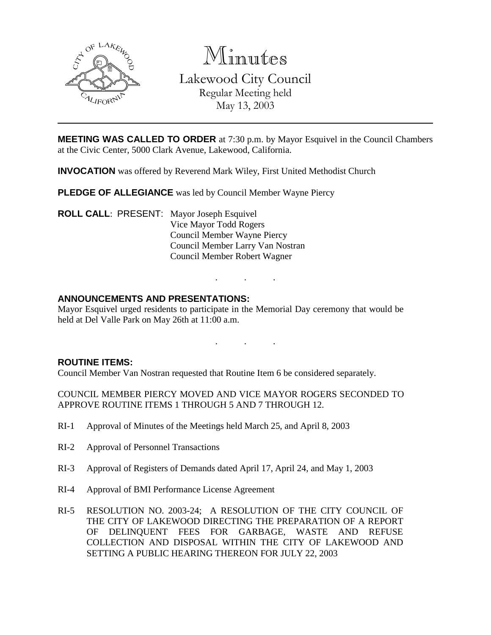

Minutes

Lakewood City Council Regular Meeting held May 13, 2003

**MEETING WAS CALLED TO ORDER** at 7:30 p.m. by Mayor Esquivel in the Council Chambers at the Civic Center, 5000 Clark Avenue, Lakewood, California.

**INVOCATION** was offered by Reverend Mark Wiley, First United Methodist Church

**PLEDGE OF ALLEGIANCE** was led by Council Member Wayne Piercy

**ROLL CALL**: PRESENT: Mayor Joseph Esquivel Vice Mayor Todd Rogers Council Member Wayne Piercy Council Member Larry Van Nostran Council Member Robert Wagner

## **ANNOUNCEMENTS AND PRESENTATIONS:**

Mayor Esquivel urged residents to participate in the Memorial Day ceremony that would be held at Del Valle Park on May 26th at 11:00 a.m.

. . .

. . .

#### **ROUTINE ITEMS:**

Council Member Van Nostran requested that Routine Item 6 be considered separately.

COUNCIL MEMBER PIERCY MOVED AND VICE MAYOR ROGERS SECONDED TO APPROVE ROUTINE ITEMS 1 THROUGH 5 AND 7 THROUGH 12.

- RI-1 Approval of Minutes of the Meetings held March 25, and April 8, 2003
- RI-2 Approval of Personnel Transactions
- RI-3 Approval of Registers of Demands dated April 17, April 24, and May 1, 2003
- RI-4 Approval of BMI Performance License Agreement
- RI-5 RESOLUTION NO. 2003-24; A RESOLUTION OF THE CITY COUNCIL OF THE CITY OF LAKEWOOD DIRECTING THE PREPARATION OF A REPORT OF DELINQUENT FEES FOR GARBAGE, WASTE AND REFUSE COLLECTION AND DISPOSAL WITHIN THE CITY OF LAKEWOOD AND SETTING A PUBLIC HEARING THEREON FOR JULY 22, 2003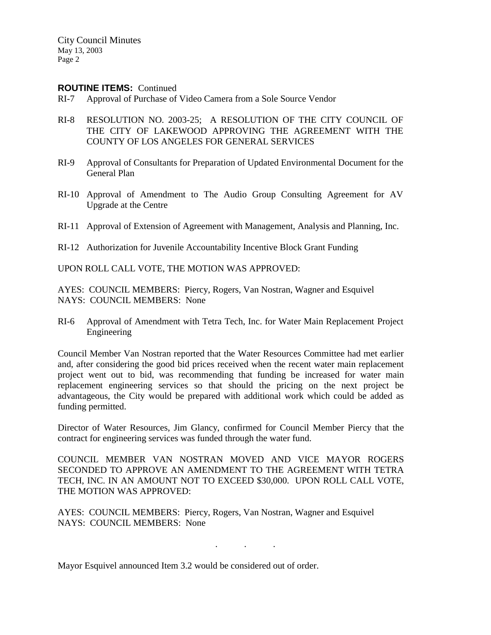#### **ROUTINE ITEMS:** Continued

- RI-7 Approval of Purchase of Video Camera from a Sole Source Vendor
- RI-8 RESOLUTION NO. 2003-25; A RESOLUTION OF THE CITY COUNCIL OF THE CITY OF LAKEWOOD APPROVING THE AGREEMENT WITH THE COUNTY OF LOS ANGELES FOR GENERAL SERVICES
- RI-9 Approval of Consultants for Preparation of Updated Environmental Document for the General Plan
- RI-10 Approval of Amendment to The Audio Group Consulting Agreement for AV Upgrade at the Centre
- RI-11 Approval of Extension of Agreement with Management, Analysis and Planning, Inc.
- RI-12 Authorization for Juvenile Accountability Incentive Block Grant Funding

UPON ROLL CALL VOTE, THE MOTION WAS APPROVED:

AYES: COUNCIL MEMBERS: Piercy, Rogers, Van Nostran, Wagner and Esquivel NAYS: COUNCIL MEMBERS: None

RI-6 Approval of Amendment with Tetra Tech, Inc. for Water Main Replacement Project Engineering

Council Member Van Nostran reported that the Water Resources Committee had met earlier and, after considering the good bid prices received when the recent water main replacement project went out to bid, was recommending that funding be increased for water main replacement engineering services so that should the pricing on the next project be advantageous, the City would be prepared with additional work which could be added as funding permitted.

Director of Water Resources, Jim Glancy, confirmed for Council Member Piercy that the contract for engineering services was funded through the water fund.

COUNCIL MEMBER VAN NOSTRAN MOVED AND VICE MAYOR ROGERS SECONDED TO APPROVE AN AMENDMENT TO THE AGREEMENT WITH TETRA TECH, INC. IN AN AMOUNT NOT TO EXCEED \$30,000. UPON ROLL CALL VOTE, THE MOTION WAS APPROVED:

. . .

AYES: COUNCIL MEMBERS: Piercy, Rogers, Van Nostran, Wagner and Esquivel NAYS: COUNCIL MEMBERS: None

Mayor Esquivel announced Item 3.2 would be considered out of order.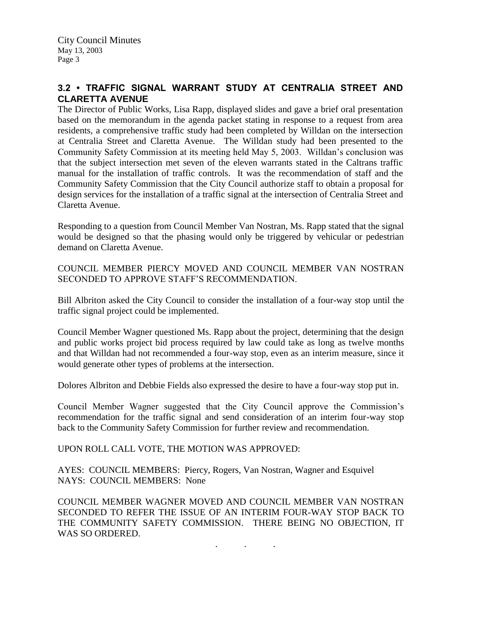# **3.2 • TRAFFIC SIGNAL WARRANT STUDY AT CENTRALIA STREET AND CLARETTA AVENUE**

The Director of Public Works, Lisa Rapp, displayed slides and gave a brief oral presentation based on the memorandum in the agenda packet stating in response to a request from area residents, a comprehensive traffic study had been completed by Willdan on the intersection at Centralia Street and Claretta Avenue. The Willdan study had been presented to the Community Safety Commission at its meeting held May 5, 2003. Willdan's conclusion was that the subject intersection met seven of the eleven warrants stated in the Caltrans traffic manual for the installation of traffic controls. It was the recommendation of staff and the Community Safety Commission that the City Council authorize staff to obtain a proposal for design services for the installation of a traffic signal at the intersection of Centralia Street and Claretta Avenue.

Responding to a question from Council Member Van Nostran, Ms. Rapp stated that the signal would be designed so that the phasing would only be triggered by vehicular or pedestrian demand on Claretta Avenue.

COUNCIL MEMBER PIERCY MOVED AND COUNCIL MEMBER VAN NOSTRAN SECONDED TO APPROVE STAFF'S RECOMMENDATION.

Bill Albriton asked the City Council to consider the installation of a four-way stop until the traffic signal project could be implemented.

Council Member Wagner questioned Ms. Rapp about the project, determining that the design and public works project bid process required by law could take as long as twelve months and that Willdan had not recommended a four-way stop, even as an interim measure, since it would generate other types of problems at the intersection.

Dolores Albriton and Debbie Fields also expressed the desire to have a four-way stop put in.

Council Member Wagner suggested that the City Council approve the Commission's recommendation for the traffic signal and send consideration of an interim four-way stop back to the Community Safety Commission for further review and recommendation.

UPON ROLL CALL VOTE, THE MOTION WAS APPROVED:

AYES: COUNCIL MEMBERS: Piercy, Rogers, Van Nostran, Wagner and Esquivel NAYS: COUNCIL MEMBERS: None

COUNCIL MEMBER WAGNER MOVED AND COUNCIL MEMBER VAN NOSTRAN SECONDED TO REFER THE ISSUE OF AN INTERIM FOUR-WAY STOP BACK TO THE COMMUNITY SAFETY COMMISSION. THERE BEING NO OBJECTION, IT WAS SO ORDERED.

. . .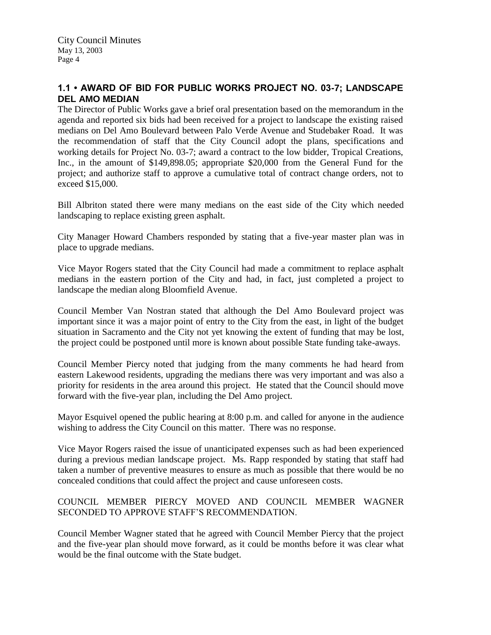# **1.1 • AWARD OF BID FOR PUBLIC WORKS PROJECT NO. 03-7; LANDSCAPE DEL AMO MEDIAN**

The Director of Public Works gave a brief oral presentation based on the memorandum in the agenda and reported six bids had been received for a project to landscape the existing raised medians on Del Amo Boulevard between Palo Verde Avenue and Studebaker Road. It was the recommendation of staff that the City Council adopt the plans, specifications and working details for Project No. 03-7; award a contract to the low bidder, Tropical Creations, Inc., in the amount of \$149,898.05; appropriate \$20,000 from the General Fund for the project; and authorize staff to approve a cumulative total of contract change orders, not to exceed \$15,000.

Bill Albriton stated there were many medians on the east side of the City which needed landscaping to replace existing green asphalt.

City Manager Howard Chambers responded by stating that a five-year master plan was in place to upgrade medians.

Vice Mayor Rogers stated that the City Council had made a commitment to replace asphalt medians in the eastern portion of the City and had, in fact, just completed a project to landscape the median along Bloomfield Avenue.

Council Member Van Nostran stated that although the Del Amo Boulevard project was important since it was a major point of entry to the City from the east, in light of the budget situation in Sacramento and the City not yet knowing the extent of funding that may be lost, the project could be postponed until more is known about possible State funding take-aways.

Council Member Piercy noted that judging from the many comments he had heard from eastern Lakewood residents, upgrading the medians there was very important and was also a priority for residents in the area around this project. He stated that the Council should move forward with the five-year plan, including the Del Amo project.

Mayor Esquivel opened the public hearing at 8:00 p.m. and called for anyone in the audience wishing to address the City Council on this matter. There was no response.

Vice Mayor Rogers raised the issue of unanticipated expenses such as had been experienced during a previous median landscape project. Ms. Rapp responded by stating that staff had taken a number of preventive measures to ensure as much as possible that there would be no concealed conditions that could affect the project and cause unforeseen costs.

## COUNCIL MEMBER PIERCY MOVED AND COUNCIL MEMBER WAGNER SECONDED TO APPROVE STAFF'S RECOMMENDATION.

Council Member Wagner stated that he agreed with Council Member Piercy that the project and the five-year plan should move forward, as it could be months before it was clear what would be the final outcome with the State budget.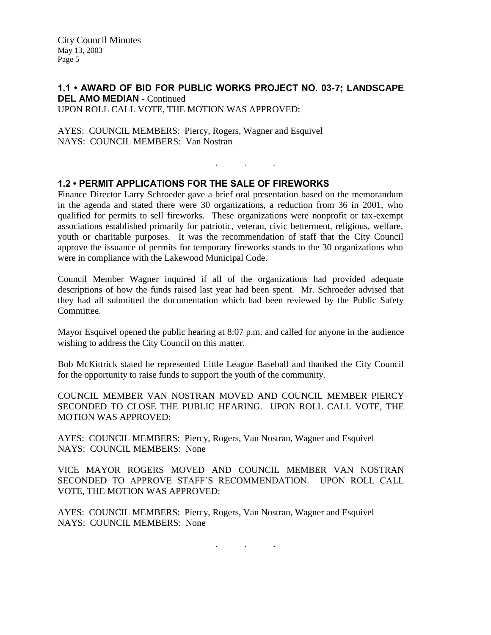#### **1.1 • AWARD OF BID FOR PUBLIC WORKS PROJECT NO. 03-7; LANDSCAPE DEL AMO MEDIAN - Continued** UPON ROLL CALL VOTE, THE MOTION WAS APPROVED:

AYES: COUNCIL MEMBERS: Piercy, Rogers, Wagner and Esquivel NAYS: COUNCIL MEMBERS: Van Nostran

## **1.2 • PERMIT APPLICATIONS FOR THE SALE OF FIREWORKS**

Finance Director Larry Schroeder gave a brief oral presentation based on the memorandum in the agenda and stated there were 30 organizations, a reduction from 36 in 2001, who qualified for permits to sell fireworks. These organizations were nonprofit or tax-exempt associations established primarily for patriotic, veteran, civic betterment, religious, welfare, youth or charitable purposes. It was the recommendation of staff that the City Council approve the issuance of permits for temporary fireworks stands to the 30 organizations who were in compliance with the Lakewood Municipal Code.

. . .

Council Member Wagner inquired if all of the organizations had provided adequate descriptions of how the funds raised last year had been spent. Mr. Schroeder advised that they had all submitted the documentation which had been reviewed by the Public Safety Committee.

Mayor Esquivel opened the public hearing at 8:07 p.m. and called for anyone in the audience wishing to address the City Council on this matter.

Bob McKittrick stated he represented Little League Baseball and thanked the City Council for the opportunity to raise funds to support the youth of the community.

COUNCIL MEMBER VAN NOSTRAN MOVED AND COUNCIL MEMBER PIERCY SECONDED TO CLOSE THE PUBLIC HEARING. UPON ROLL CALL VOTE, THE MOTION WAS APPROVED:

AYES: COUNCIL MEMBERS: Piercy, Rogers, Van Nostran, Wagner and Esquivel NAYS: COUNCIL MEMBERS: None

VICE MAYOR ROGERS MOVED AND COUNCIL MEMBER VAN NOSTRAN SECONDED TO APPROVE STAFF'S RECOMMENDATION. UPON ROLL CALL VOTE, THE MOTION WAS APPROVED:

AYES: COUNCIL MEMBERS: Piercy, Rogers, Van Nostran, Wagner and Esquivel NAYS: COUNCIL MEMBERS: None

. . .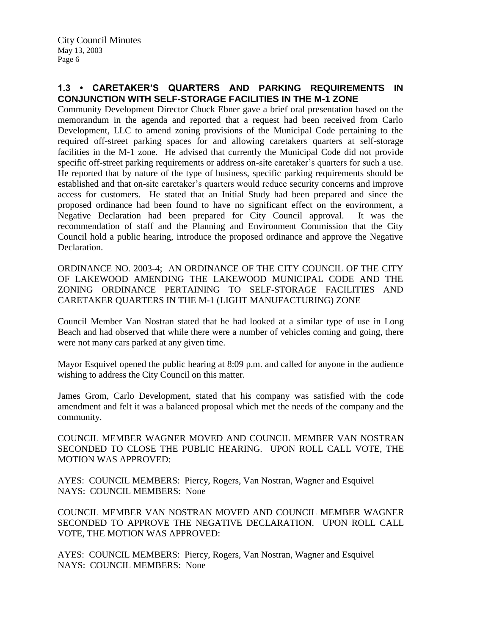# **1.3 • CARETAKER'S QUARTERS AND PARKING REQUIREMENTS IN CONJUNCTION WITH SELF-STORAGE FACILITIES IN THE M-1 ZONE**

Community Development Director Chuck Ebner gave a brief oral presentation based on the memorandum in the agenda and reported that a request had been received from Carlo Development, LLC to amend zoning provisions of the Municipal Code pertaining to the required off-street parking spaces for and allowing caretakers quarters at self-storage facilities in the M-1 zone. He advised that currently the Municipal Code did not provide specific off-street parking requirements or address on-site caretaker's quarters for such a use. He reported that by nature of the type of business, specific parking requirements should be established and that on-site caretaker's quarters would reduce security concerns and improve access for customers. He stated that an Initial Study had been prepared and since the proposed ordinance had been found to have no significant effect on the environment, a Negative Declaration had been prepared for City Council approval. It was the recommendation of staff and the Planning and Environment Commission that the City Council hold a public hearing, introduce the proposed ordinance and approve the Negative Declaration.

ORDINANCE NO. 2003-4; AN ORDINANCE OF THE CITY COUNCIL OF THE CITY OF LAKEWOOD AMENDING THE LAKEWOOD MUNICIPAL CODE AND THE ZONING ORDINANCE PERTAINING TO SELF-STORAGE FACILITIES AND CARETAKER QUARTERS IN THE M-1 (LIGHT MANUFACTURING) ZONE

Council Member Van Nostran stated that he had looked at a similar type of use in Long Beach and had observed that while there were a number of vehicles coming and going, there were not many cars parked at any given time.

Mayor Esquivel opened the public hearing at 8:09 p.m. and called for anyone in the audience wishing to address the City Council on this matter.

James Grom, Carlo Development, stated that his company was satisfied with the code amendment and felt it was a balanced proposal which met the needs of the company and the community.

COUNCIL MEMBER WAGNER MOVED AND COUNCIL MEMBER VAN NOSTRAN SECONDED TO CLOSE THE PUBLIC HEARING. UPON ROLL CALL VOTE, THE MOTION WAS APPROVED:

AYES: COUNCIL MEMBERS: Piercy, Rogers, Van Nostran, Wagner and Esquivel NAYS: COUNCIL MEMBERS: None

COUNCIL MEMBER VAN NOSTRAN MOVED AND COUNCIL MEMBER WAGNER SECONDED TO APPROVE THE NEGATIVE DECLARATION. UPON ROLL CALL VOTE, THE MOTION WAS APPROVED:

AYES: COUNCIL MEMBERS: Piercy, Rogers, Van Nostran, Wagner and Esquivel NAYS: COUNCIL MEMBERS: None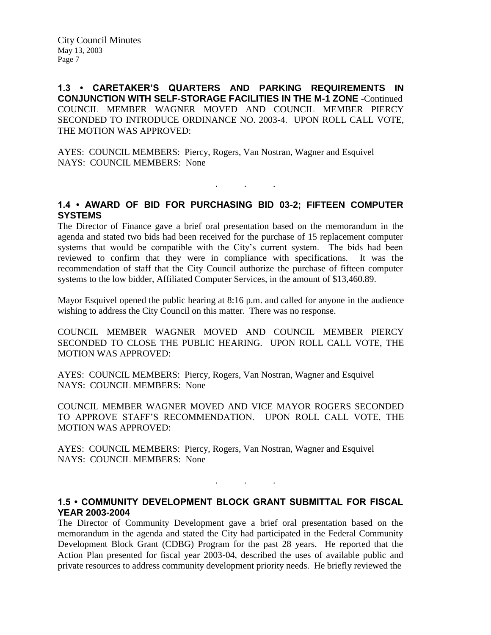**1.3 • CARETAKER'S QUARTERS AND PARKING REQUIREMENTS IN CONJUNCTION WITH SELF-STORAGE FACILITIES IN THE M-1 ZONE** -Continued COUNCIL MEMBER WAGNER MOVED AND COUNCIL MEMBER PIERCY SECONDED TO INTRODUCE ORDINANCE NO. 2003-4. UPON ROLL CALL VOTE, THE MOTION WAS APPROVED:

AYES: COUNCIL MEMBERS: Piercy, Rogers, Van Nostran, Wagner and Esquivel NAYS: COUNCIL MEMBERS: None

# **1.4 • AWARD OF BID FOR PURCHASING BID 03-2; FIFTEEN COMPUTER SYSTEMS**

. . .

The Director of Finance gave a brief oral presentation based on the memorandum in the agenda and stated two bids had been received for the purchase of 15 replacement computer systems that would be compatible with the City's current system. The bids had been reviewed to confirm that they were in compliance with specifications. It was the recommendation of staff that the City Council authorize the purchase of fifteen computer systems to the low bidder, Affiliated Computer Services, in the amount of \$13,460.89.

Mayor Esquivel opened the public hearing at 8:16 p.m. and called for anyone in the audience wishing to address the City Council on this matter. There was no response.

COUNCIL MEMBER WAGNER MOVED AND COUNCIL MEMBER PIERCY SECONDED TO CLOSE THE PUBLIC HEARING. UPON ROLL CALL VOTE, THE MOTION WAS APPROVED:

AYES: COUNCIL MEMBERS: Piercy, Rogers, Van Nostran, Wagner and Esquivel NAYS: COUNCIL MEMBERS: None

COUNCIL MEMBER WAGNER MOVED AND VICE MAYOR ROGERS SECONDED TO APPROVE STAFF'S RECOMMENDATION. UPON ROLL CALL VOTE, THE MOTION WAS APPROVED:

AYES: COUNCIL MEMBERS: Piercy, Rogers, Van Nostran, Wagner and Esquivel NAYS: COUNCIL MEMBERS: None

#### **1.5 • COMMUNITY DEVELOPMENT BLOCK GRANT SUBMITTAL FOR FISCAL YEAR 2003-2004**

. . .

The Director of Community Development gave a brief oral presentation based on the memorandum in the agenda and stated the City had participated in the Federal Community Development Block Grant (CDBG) Program for the past 28 years. He reported that the Action Plan presented for fiscal year 2003-04, described the uses of available public and private resources to address community development priority needs. He briefly reviewed the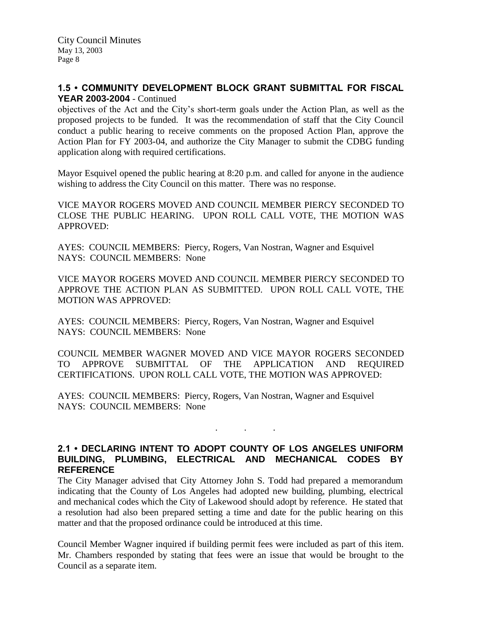## **1.5 • COMMUNITY DEVELOPMENT BLOCK GRANT SUBMITTAL FOR FISCAL YEAR 2003-2004** - Continued

objectives of the Act and the City's short-term goals under the Action Plan, as well as the proposed projects to be funded. It was the recommendation of staff that the City Council conduct a public hearing to receive comments on the proposed Action Plan, approve the Action Plan for FY 2003-04, and authorize the City Manager to submit the CDBG funding application along with required certifications.

Mayor Esquivel opened the public hearing at 8:20 p.m. and called for anyone in the audience wishing to address the City Council on this matter. There was no response.

VICE MAYOR ROGERS MOVED AND COUNCIL MEMBER PIERCY SECONDED TO CLOSE THE PUBLIC HEARING. UPON ROLL CALL VOTE, THE MOTION WAS APPROVED:

AYES: COUNCIL MEMBERS: Piercy, Rogers, Van Nostran, Wagner and Esquivel NAYS: COUNCIL MEMBERS: None

VICE MAYOR ROGERS MOVED AND COUNCIL MEMBER PIERCY SECONDED TO APPROVE THE ACTION PLAN AS SUBMITTED. UPON ROLL CALL VOTE, THE MOTION WAS APPROVED:

AYES: COUNCIL MEMBERS: Piercy, Rogers, Van Nostran, Wagner and Esquivel NAYS: COUNCIL MEMBERS: None

COUNCIL MEMBER WAGNER MOVED AND VICE MAYOR ROGERS SECONDED TO APPROVE SUBMITTAL OF THE APPLICATION AND REQUIRED CERTIFICATIONS. UPON ROLL CALL VOTE, THE MOTION WAS APPROVED:

AYES: COUNCIL MEMBERS: Piercy, Rogers, Van Nostran, Wagner and Esquivel NAYS: COUNCIL MEMBERS: None

## **2.1 • DECLARING INTENT TO ADOPT COUNTY OF LOS ANGELES UNIFORM BUILDING, PLUMBING, ELECTRICAL AND MECHANICAL CODES BY REFERENCE**

. . .

The City Manager advised that City Attorney John S. Todd had prepared a memorandum indicating that the County of Los Angeles had adopted new building, plumbing, electrical and mechanical codes which the City of Lakewood should adopt by reference. He stated that a resolution had also been prepared setting a time and date for the public hearing on this matter and that the proposed ordinance could be introduced at this time.

Council Member Wagner inquired if building permit fees were included as part of this item. Mr. Chambers responded by stating that fees were an issue that would be brought to the Council as a separate item.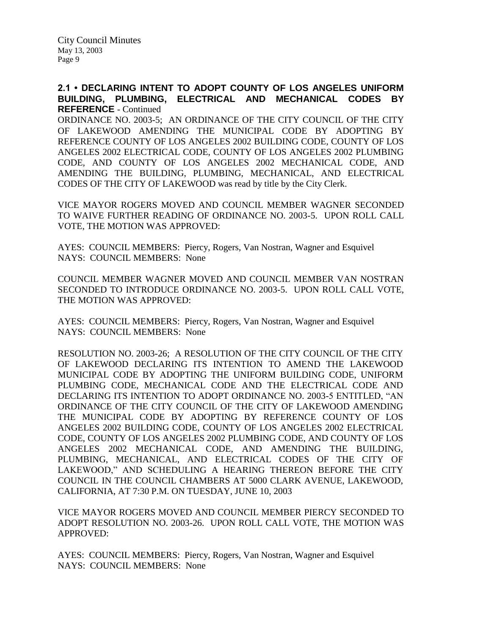### **2.1 • DECLARING INTENT TO ADOPT COUNTY OF LOS ANGELES UNIFORM BUILDING, PLUMBING, ELECTRICAL AND MECHANICAL CODES BY REFERENCE** - Continued

ORDINANCE NO. 2003-5; AN ORDINANCE OF THE CITY COUNCIL OF THE CITY OF LAKEWOOD AMENDING THE MUNICIPAL CODE BY ADOPTING BY REFERENCE COUNTY OF LOS ANGELES 2002 BUILDING CODE, COUNTY OF LOS ANGELES 2002 ELECTRICAL CODE, COUNTY OF LOS ANGELES 2002 PLUMBING CODE, AND COUNTY OF LOS ANGELES 2002 MECHANICAL CODE, AND AMENDING THE BUILDING, PLUMBING, MECHANICAL, AND ELECTRICAL CODES OF THE CITY OF LAKEWOOD was read by title by the City Clerk.

VICE MAYOR ROGERS MOVED AND COUNCIL MEMBER WAGNER SECONDED TO WAIVE FURTHER READING OF ORDINANCE NO. 2003-5. UPON ROLL CALL VOTE, THE MOTION WAS APPROVED:

AYES: COUNCIL MEMBERS: Piercy, Rogers, Van Nostran, Wagner and Esquivel NAYS: COUNCIL MEMBERS: None

COUNCIL MEMBER WAGNER MOVED AND COUNCIL MEMBER VAN NOSTRAN SECONDED TO INTRODUCE ORDINANCE NO. 2003-5. UPON ROLL CALL VOTE, THE MOTION WAS APPROVED:

AYES: COUNCIL MEMBERS: Piercy, Rogers, Van Nostran, Wagner and Esquivel NAYS: COUNCIL MEMBERS: None

RESOLUTION NO. 2003-26; A RESOLUTION OF THE CITY COUNCIL OF THE CITY OF LAKEWOOD DECLARING ITS INTENTION TO AMEND THE LAKEWOOD MUNICIPAL CODE BY ADOPTING THE UNIFORM BUILDING CODE, UNIFORM PLUMBING CODE, MECHANICAL CODE AND THE ELECTRICAL CODE AND DECLARING ITS INTENTION TO ADOPT ORDINANCE NO. 2003-5 ENTITLED, "AN ORDINANCE OF THE CITY COUNCIL OF THE CITY OF LAKEWOOD AMENDING THE MUNICIPAL CODE BY ADOPTING BY REFERENCE COUNTY OF LOS ANGELES 2002 BUILDING CODE, COUNTY OF LOS ANGELES 2002 ELECTRICAL CODE, COUNTY OF LOS ANGELES 2002 PLUMBING CODE, AND COUNTY OF LOS ANGELES 2002 MECHANICAL CODE, AND AMENDING THE BUILDING, PLUMBING, MECHANICAL, AND ELECTRICAL CODES OF THE CITY OF LAKEWOOD," AND SCHEDULING A HEARING THEREON BEFORE THE CITY COUNCIL IN THE COUNCIL CHAMBERS AT 5000 CLARK AVENUE, LAKEWOOD, CALIFORNIA, AT 7:30 P.M. ON TUESDAY, JUNE 10, 2003

VICE MAYOR ROGERS MOVED AND COUNCIL MEMBER PIERCY SECONDED TO ADOPT RESOLUTION NO. 2003-26. UPON ROLL CALL VOTE, THE MOTION WAS APPROVED:

AYES: COUNCIL MEMBERS: Piercy, Rogers, Van Nostran, Wagner and Esquivel NAYS: COUNCIL MEMBERS: None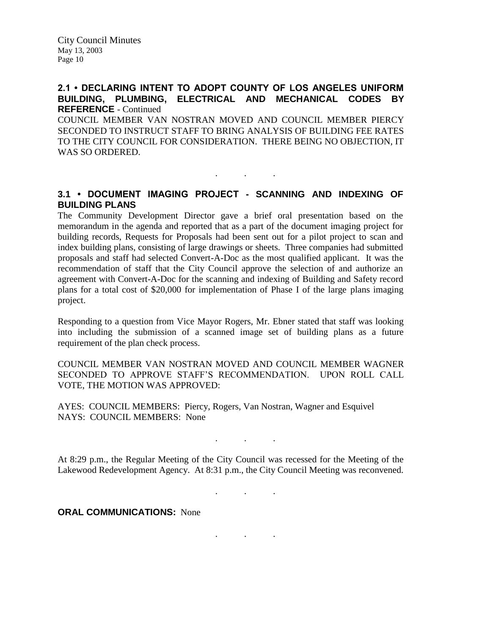#### **2.1 • DECLARING INTENT TO ADOPT COUNTY OF LOS ANGELES UNIFORM BUILDING, PLUMBING, ELECTRICAL AND MECHANICAL CODES BY REFERENCE** - Continued

COUNCIL MEMBER VAN NOSTRAN MOVED AND COUNCIL MEMBER PIERCY SECONDED TO INSTRUCT STAFF TO BRING ANALYSIS OF BUILDING FEE RATES TO THE CITY COUNCIL FOR CONSIDERATION. THERE BEING NO OBJECTION, IT WAS SO ORDERED.

## **3.1 • DOCUMENT IMAGING PROJECT - SCANNING AND INDEXING OF BUILDING PLANS**

. . .

The Community Development Director gave a brief oral presentation based on the memorandum in the agenda and reported that as a part of the document imaging project for building records, Requests for Proposals had been sent out for a pilot project to scan and index building plans, consisting of large drawings or sheets. Three companies had submitted proposals and staff had selected Convert-A-Doc as the most qualified applicant. It was the recommendation of staff that the City Council approve the selection of and authorize an agreement with Convert-A-Doc for the scanning and indexing of Building and Safety record plans for a total cost of \$20,000 for implementation of Phase I of the large plans imaging project.

Responding to a question from Vice Mayor Rogers, Mr. Ebner stated that staff was looking into including the submission of a scanned image set of building plans as a future requirement of the plan check process.

COUNCIL MEMBER VAN NOSTRAN MOVED AND COUNCIL MEMBER WAGNER SECONDED TO APPROVE STAFF'S RECOMMENDATION. UPON ROLL CALL VOTE, THE MOTION WAS APPROVED:

AYES: COUNCIL MEMBERS: Piercy, Rogers, Van Nostran, Wagner and Esquivel NAYS: COUNCIL MEMBERS: None

At 8:29 p.m., the Regular Meeting of the City Council was recessed for the Meeting of the Lakewood Redevelopment Agency. At 8:31 p.m., the City Council Meeting was reconvened.

. . .

. . .

. . .

**ORAL COMMUNICATIONS: None**